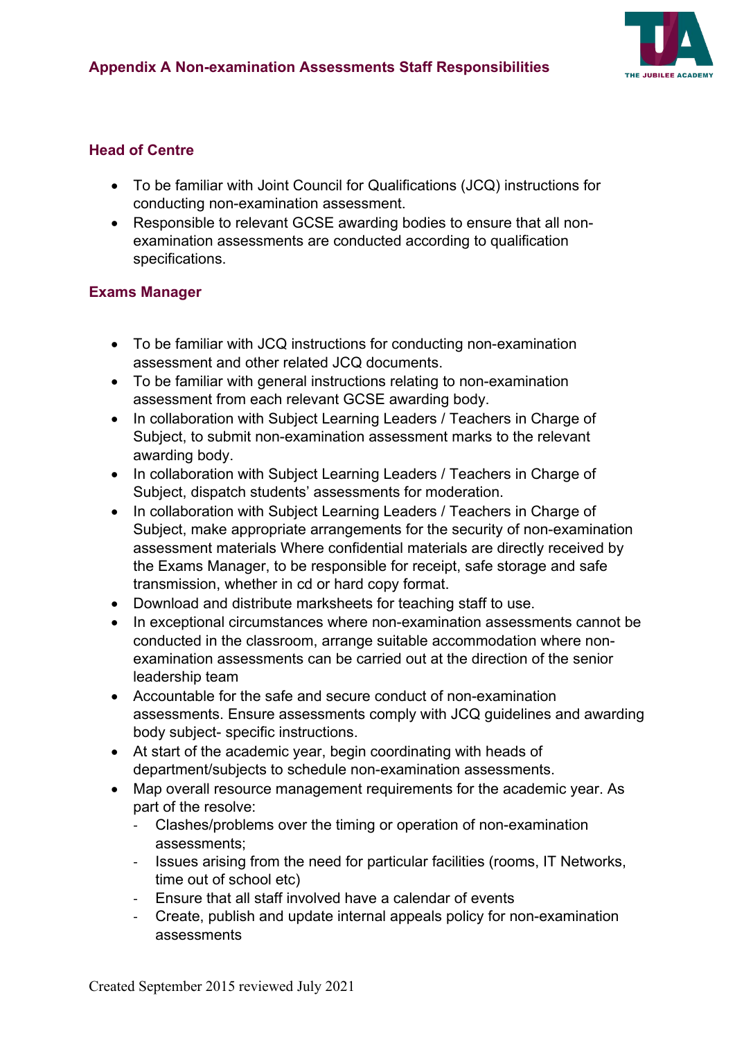

### **Head of Centre**

- To be familiar with Joint Council for Qualifications (JCQ) instructions for conducting non-examination assessment.
- Responsible to relevant GCSE awarding bodies to ensure that all nonexamination assessments are conducted according to qualification specifications.

#### **Exams Manager**

- To be familiar with JCQ instructions for conducting non-examination assessment and other related JCQ documents.
- To be familiar with general instructions relating to non-examination assessment from each relevant GCSE awarding body.
- In collaboration with Subject Learning Leaders / Teachers in Charge of Subject, to submit non-examination assessment marks to the relevant awarding body.
- In collaboration with Subject Learning Leaders / Teachers in Charge of Subject, dispatch students' assessments for moderation.
- In collaboration with Subject Learning Leaders / Teachers in Charge of Subject, make appropriate arrangements for the security of non-examination assessment materials Where confidential materials are directly received by the Exams Manager, to be responsible for receipt, safe storage and safe transmission, whether in cd or hard copy format.
- Download and distribute marksheets for teaching staff to use.
- In exceptional circumstances where non-examination assessments cannot be conducted in the classroom, arrange suitable accommodation where nonexamination assessments can be carried out at the direction of the senior leadership team
- Accountable for the safe and secure conduct of non-examination assessments. Ensure assessments comply with JCQ guidelines and awarding body subject- specific instructions.
- At start of the academic year, begin coordinating with heads of department/subjects to schedule non-examination assessments.
- Map overall resource management requirements for the academic year. As part of the resolve:
	- Clashes/problems over the timing or operation of non-examination assessments;
	- Issues arising from the need for particular facilities (rooms, IT Networks, time out of school etc)
	- Ensure that all staff involved have a calendar of events
	- Create, publish and update internal appeals policy for non-examination assessments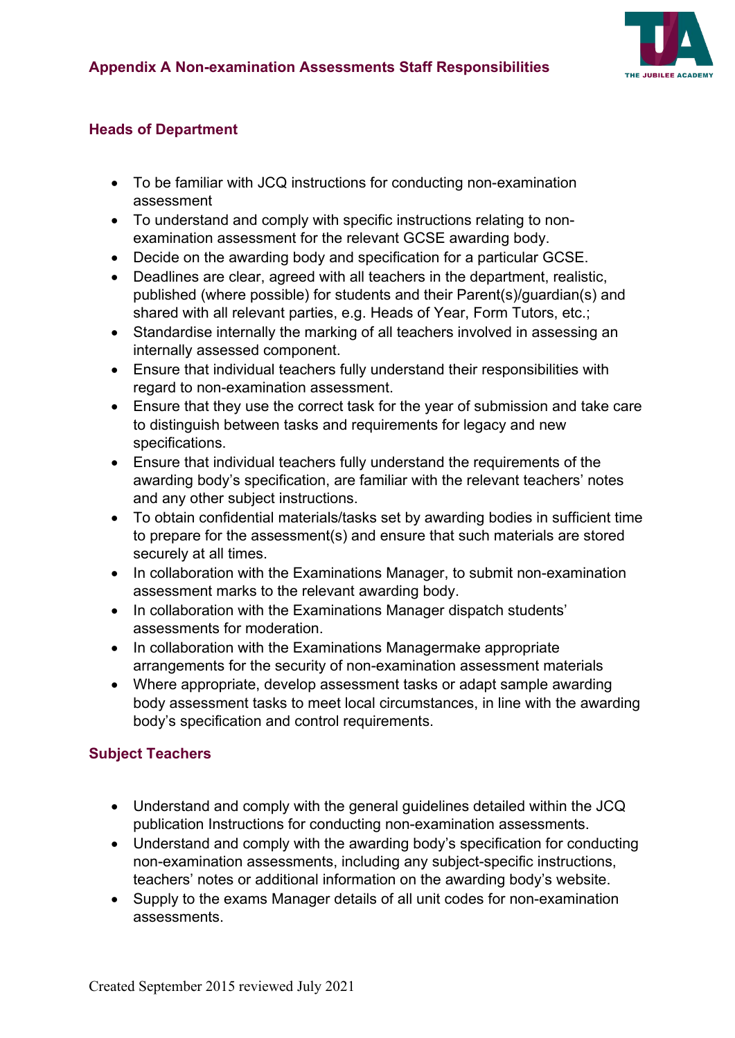

### **Heads of Department**

- To be familiar with JCQ instructions for conducting non-examination assessment
- To understand and comply with specific instructions relating to nonexamination assessment for the relevant GCSE awarding body.
- Decide on the awarding body and specification for a particular GCSE.
- Deadlines are clear, agreed with all teachers in the department, realistic, published (where possible) for students and their Parent(s)/guardian(s) and shared with all relevant parties, e.g. Heads of Year, Form Tutors, etc.;
- Standardise internally the marking of all teachers involved in assessing an internally assessed component.
- Ensure that individual teachers fully understand their responsibilities with regard to non-examination assessment.
- Ensure that they use the correct task for the year of submission and take care to distinguish between tasks and requirements for legacy and new specifications.
- Ensure that individual teachers fully understand the requirements of the awarding body's specification, are familiar with the relevant teachers' notes and any other subject instructions.
- To obtain confidential materials/tasks set by awarding bodies in sufficient time to prepare for the assessment(s) and ensure that such materials are stored securely at all times.
- In collaboration with the Examinations Manager, to submit non-examination assessment marks to the relevant awarding body.
- In collaboration with the Examinations Manager dispatch students' assessments for moderation.
- In collaboration with the Examinations Managermake appropriate arrangements for the security of non-examination assessment materials
- Where appropriate, develop assessment tasks or adapt sample awarding body assessment tasks to meet local circumstances, in line with the awarding body's specification and control requirements.

## **Subject Teachers**

- Understand and comply with the general guidelines detailed within the JCQ publication Instructions for conducting non-examination assessments.
- Understand and comply with the awarding body's specification for conducting non-examination assessments, including any subject-specific instructions, teachers' notes or additional information on the awarding body's website.
- Supply to the exams Manager details of all unit codes for non-examination assessments.